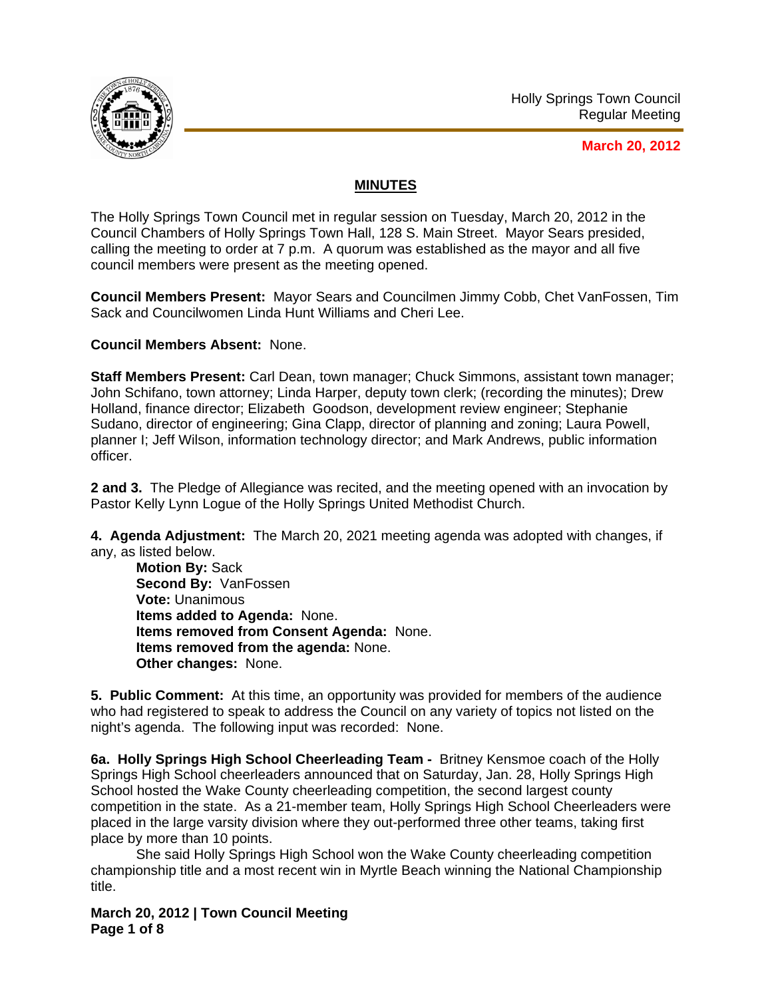

**March 20, 2012**

## **MINUTES**

The Holly Springs Town Council met in regular session on Tuesday, March 20, 2012 in the Council Chambers of Holly Springs Town Hall, 128 S. Main Street. Mayor Sears presided, calling the meeting to order at 7 p.m. A quorum was established as the mayor and all five council members were present as the meeting opened.

**Council Members Present:** Mayor Sears and Councilmen Jimmy Cobb, Chet VanFossen, Tim Sack and Councilwomen Linda Hunt Williams and Cheri Lee.

**Council Members Absent:** None.

**Staff Members Present:** Carl Dean, town manager; Chuck Simmons, assistant town manager; John Schifano, town attorney; Linda Harper, deputy town clerk; (recording the minutes); Drew Holland, finance director; Elizabeth Goodson, development review engineer; Stephanie Sudano, director of engineering; Gina Clapp, director of planning and zoning; Laura Powell, planner I; Jeff Wilson, information technology director; and Mark Andrews, public information officer.

**2 and 3.** The Pledge of Allegiance was recited, and the meeting opened with an invocation by Pastor Kelly Lynn Logue of the Holly Springs United Methodist Church.

**4. Agenda Adjustment:** The March 20, 2021 meeting agenda was adopted with changes, if any, as listed below.

**Motion By:** Sack **Second By:** VanFossen **Vote:** Unanimous **Items added to Agenda:** None. **Items removed from Consent Agenda:** None. **Items removed from the agenda:** None. **Other changes:** None.

**5. Public Comment:** At this time, an opportunity was provided for members of the audience who had registered to speak to address the Council on any variety of topics not listed on the night's agenda. The following input was recorded: None.

**6a. Holly Springs High School Cheerleading Team -** Britney Kensmoe coach of the Holly Springs High School cheerleaders announced that on Saturday, Jan. 28, Holly Springs High School hosted the Wake County cheerleading competition, the second largest county competition in the state. As a 21-member team, Holly Springs High School Cheerleaders were placed in the large varsity division where they out-performed three other teams, taking first place by more than 10 points.

 She said Holly Springs High School won the Wake County cheerleading competition championship title and a most recent win in Myrtle Beach winning the National Championship title.

**March 20, 2012 | Town Council Meeting Page 1 of 8**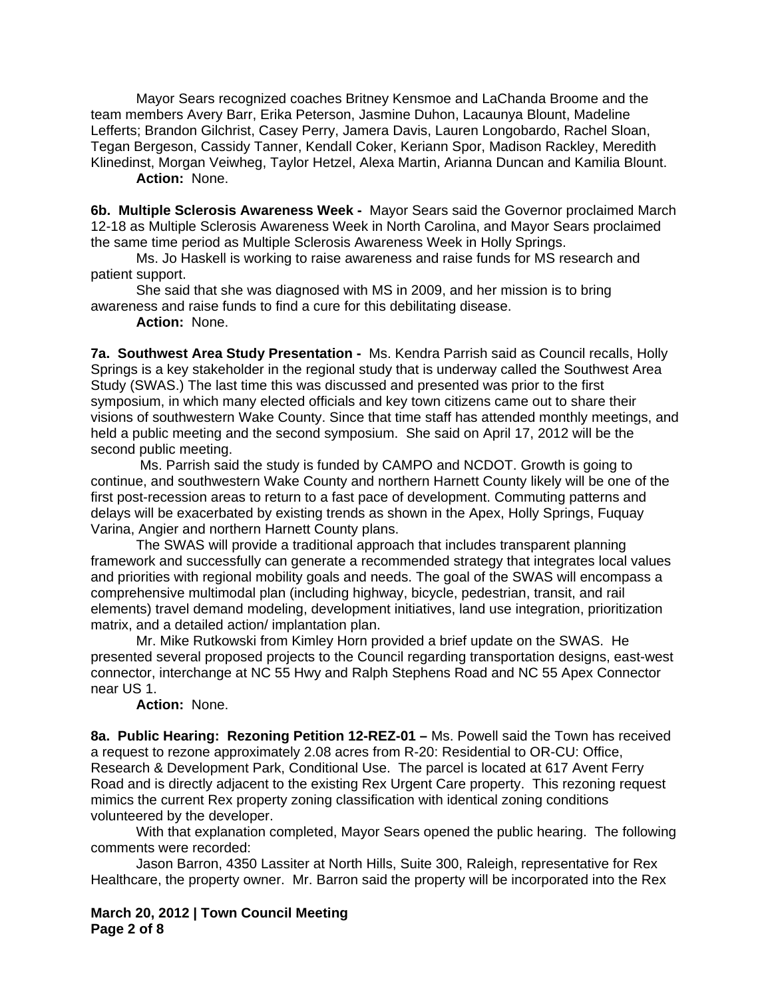Mayor Sears recognized coaches Britney Kensmoe and LaChanda Broome and the team members Avery Barr, Erika Peterson, Jasmine Duhon, Lacaunya Blount, Madeline Lefferts; Brandon Gilchrist, Casey Perry, Jamera Davis, Lauren Longobardo, Rachel Sloan, Tegan Bergeson, Cassidy Tanner, Kendall Coker, Keriann Spor, Madison Rackley, Meredith Klinedinst, Morgan Veiwheg, Taylor Hetzel, Alexa Martin, Arianna Duncan and Kamilia Blount. **Action:** None.

**6b. Multiple Sclerosis Awareness Week -** Mayor Sears said the Governor proclaimed March 12-18 as Multiple Sclerosis Awareness Week in North Carolina, and Mayor Sears proclaimed the same time period as Multiple Sclerosis Awareness Week in Holly Springs.

Ms. Jo Haskell is working to raise awareness and raise funds for MS research and patient support.

 She said that she was diagnosed with MS in 2009, and her mission is to bring awareness and raise funds to find a cure for this debilitating disease.

**Action:** None.

**7a. Southwest Area Study Presentation -** Ms. Kendra Parrish said as Council recalls, Holly Springs is a key stakeholder in the regional study that is underway called the Southwest Area Study (SWAS.) The last time this was discussed and presented was prior to the first symposium, in which many elected officials and key town citizens came out to share their visions of southwestern Wake County. Since that time staff has attended monthly meetings, and held a public meeting and the second symposium. She said on April 17, 2012 will be the second public meeting.

 Ms. Parrish said the study is funded by CAMPO and NCDOT. Growth is going to continue, and southwestern Wake County and northern Harnett County likely will be one of the first post-recession areas to return to a fast pace of development. Commuting patterns and delays will be exacerbated by existing trends as shown in the Apex, Holly Springs, Fuquay Varina, Angier and northern Harnett County plans.

 The SWAS will provide a traditional approach that includes transparent planning framework and successfully can generate a recommended strategy that integrates local values and priorities with regional mobility goals and needs. The goal of the SWAS will encompass a comprehensive multimodal plan (including highway, bicycle, pedestrian, transit, and rail elements) travel demand modeling, development initiatives, land use integration, prioritization matrix, and a detailed action/ implantation plan.

Mr. Mike Rutkowski from Kimley Horn provided a brief update on the SWAS. He presented several proposed projects to the Council regarding transportation designs, east-west connector, interchange at NC 55 Hwy and Ralph Stephens Road and NC 55 Apex Connector near US 1.

## **Action:** None.

**8a. Public Hearing: Rezoning Petition 12-REZ-01 –** Ms. Powell said the Town has received a request to rezone approximately 2.08 acres from R-20: Residential to OR-CU: Office, Research & Development Park, Conditional Use. The parcel is located at 617 Avent Ferry Road and is directly adjacent to the existing Rex Urgent Care property. This rezoning request mimics the current Rex property zoning classification with identical zoning conditions volunteered by the developer.

With that explanation completed, Mayor Sears opened the public hearing. The following comments were recorded:

Jason Barron, 4350 Lassiter at North Hills, Suite 300, Raleigh, representative for Rex Healthcare, the property owner. Mr. Barron said the property will be incorporated into the Rex

**March 20, 2012 | Town Council Meeting Page 2 of 8**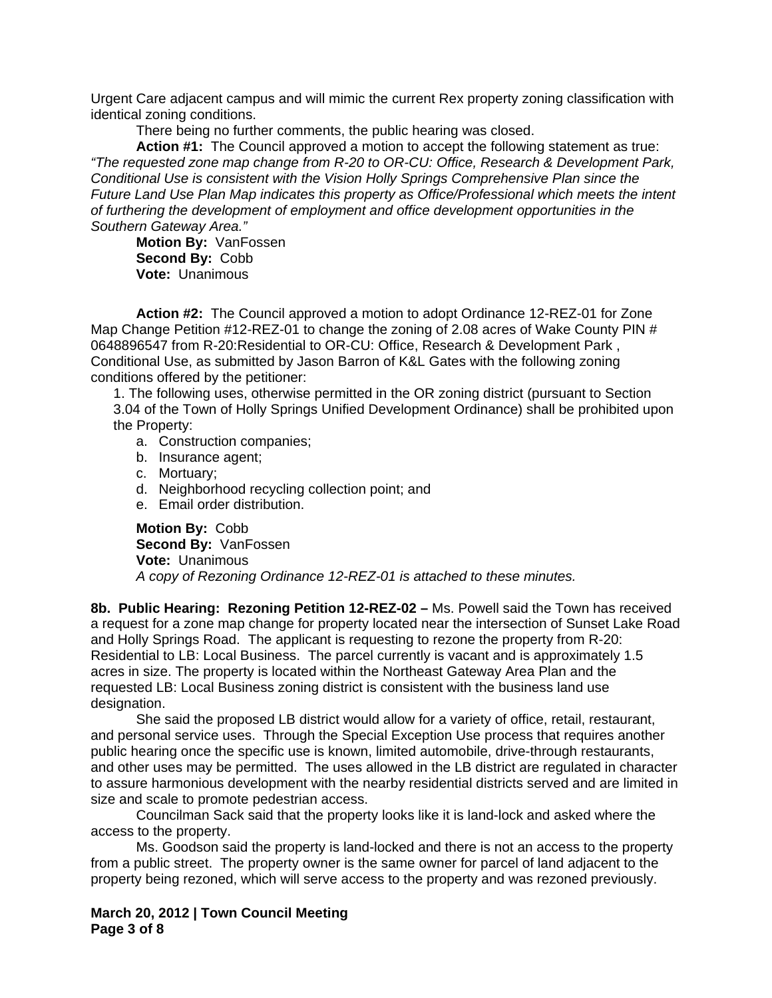Urgent Care adjacent campus and will mimic the current Rex property zoning classification with identical zoning conditions.

There being no further comments, the public hearing was closed.

**Action #1:** The Council approved a motion to accept the following statement as true: *"The requested zone map change from R-20 to OR-CU: Office, Research & Development Park, Conditional Use is consistent with the Vision Holly Springs Comprehensive Plan since the Future Land Use Plan Map indicates this property as Office/Professional which meets the intent of furthering the development of employment and office development opportunities in the Southern Gateway Area."*

**Motion By:** VanFossen **Second By:** Cobb **Vote:** Unanimous

**Action #2:** The Council approved a motion to adopt Ordinance 12-REZ-01 for Zone Map Change Petition #12-REZ-01 to change the zoning of 2.08 acres of Wake County PIN # 0648896547 from R-20:Residential to OR-CU: Office, Research & Development Park , Conditional Use, as submitted by Jason Barron of K&L Gates with the following zoning conditions offered by the petitioner:

 1. The following uses, otherwise permitted in the OR zoning district (pursuant to Section 3.04 of the Town of Holly Springs Unified Development Ordinance) shall be prohibited upon the Property:

- a. Construction companies;
- b. Insurance agent;
- c. Mortuary;
- d. Neighborhood recycling collection point; and
- e. Email order distribution.

**Motion By:** Cobb **Second By:** VanFossen **Vote:** Unanimous *A copy of Rezoning Ordinance 12-REZ-01 is attached to these minutes.* 

**8b. Public Hearing: Rezoning Petition 12-REZ-02 –** Ms. Powell said the Town has received a request for a zone map change for property located near the intersection of Sunset Lake Road and Holly Springs Road. The applicant is requesting to rezone the property from R-20: Residential to LB: Local Business. The parcel currently is vacant and is approximately 1.5 acres in size. The property is located within the Northeast Gateway Area Plan and the requested LB: Local Business zoning district is consistent with the business land use designation.

 She said the proposed LB district would allow for a variety of office, retail, restaurant, and personal service uses. Through the Special Exception Use process that requires another public hearing once the specific use is known, limited automobile, drive-through restaurants, and other uses may be permitted. The uses allowed in the LB district are regulated in character to assure harmonious development with the nearby residential districts served and are limited in size and scale to promote pedestrian access.

Councilman Sack said that the property looks like it is land-lock and asked where the access to the property.

Ms. Goodson said the property is land-locked and there is not an access to the property from a public street. The property owner is the same owner for parcel of land adjacent to the property being rezoned, which will serve access to the property and was rezoned previously.

**March 20, 2012 | Town Council Meeting Page 3 of 8**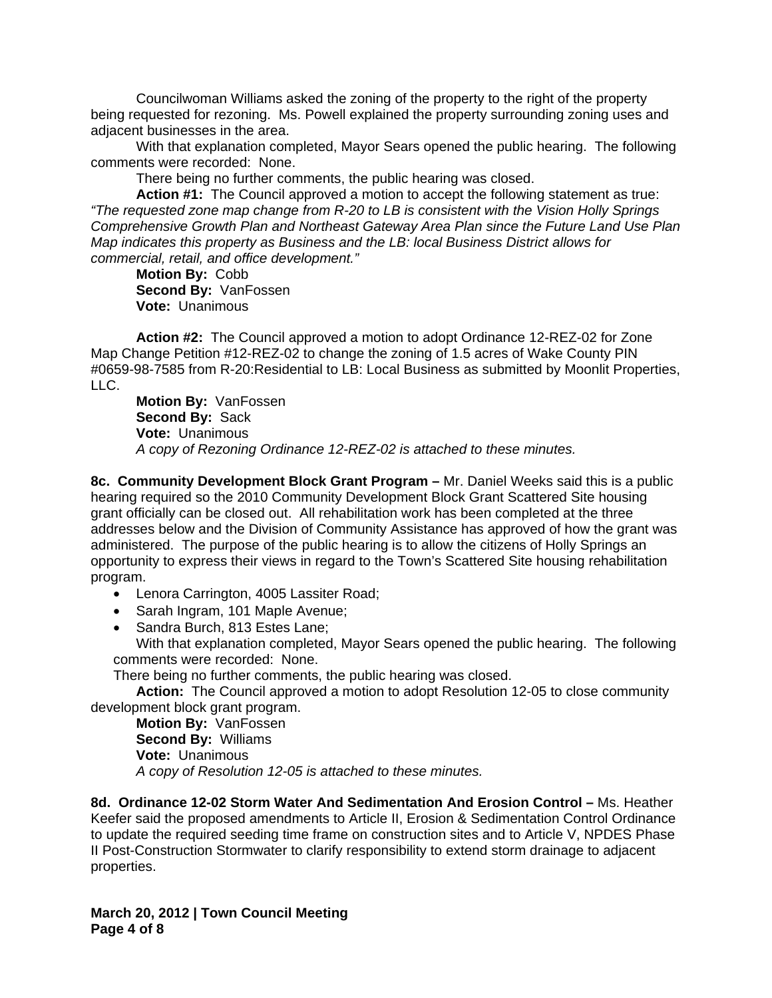Councilwoman Williams asked the zoning of the property to the right of the property being requested for rezoning. Ms. Powell explained the property surrounding zoning uses and adjacent businesses in the area.

With that explanation completed, Mayor Sears opened the public hearing. The following comments were recorded: None.

There being no further comments, the public hearing was closed.

**Action #1:** The Council approved a motion to accept the following statement as true: *"The requested zone map change from R-20 to LB is consistent with the Vision Holly Springs Comprehensive Growth Plan and Northeast Gateway Area Plan since the Future Land Use Plan Map indicates this property as Business and the LB: local Business District allows for commercial, retail, and office development."*

**Motion By:** Cobb **Second By:** VanFossen **Vote:** Unanimous

**Action #2:** The Council approved a motion to adopt Ordinance 12-REZ-02 for Zone Map Change Petition #12-REZ-02 to change the zoning of 1.5 acres of Wake County PIN #0659-98-7585 from R-20:Residential to LB: Local Business as submitted by Moonlit Properties, LLC.

**Motion By:** VanFossen **Second By:** Sack **Vote:** Unanimous *A copy of Rezoning Ordinance 12-REZ-02 is attached to these minutes.* 

**8c. Community Development Block Grant Program –** Mr. Daniel Weeks said this is a public hearing required so the 2010 Community Development Block Grant Scattered Site housing grant officially can be closed out. All rehabilitation work has been completed at the three addresses below and the Division of Community Assistance has approved of how the grant was administered. The purpose of the public hearing is to allow the citizens of Holly Springs an opportunity to express their views in regard to the Town's Scattered Site housing rehabilitation program.

- Lenora Carrington, 4005 Lassiter Road;
- Sarah Ingram, 101 Maple Avenue;
- Sandra Burch, 813 Estes Lane;

With that explanation completed, Mayor Sears opened the public hearing. The following comments were recorded: None.

There being no further comments, the public hearing was closed.

**Action:** The Council approved a motion to adopt Resolution 12-05 to close community development block grant program.

**Motion By:** VanFossen **Second By:** Williams **Vote:** Unanimous *A copy of Resolution 12-05 is attached to these minutes.*

**8d. Ordinance 12-02 Storm Water And Sedimentation And Erosion Control –** Ms. Heather Keefer said the proposed amendments to Article II, Erosion & Sedimentation Control Ordinance to update the required seeding time frame on construction sites and to Article V, NPDES Phase II Post-Construction Stormwater to clarify responsibility to extend storm drainage to adjacent properties.

**March 20, 2012 | Town Council Meeting Page 4 of 8**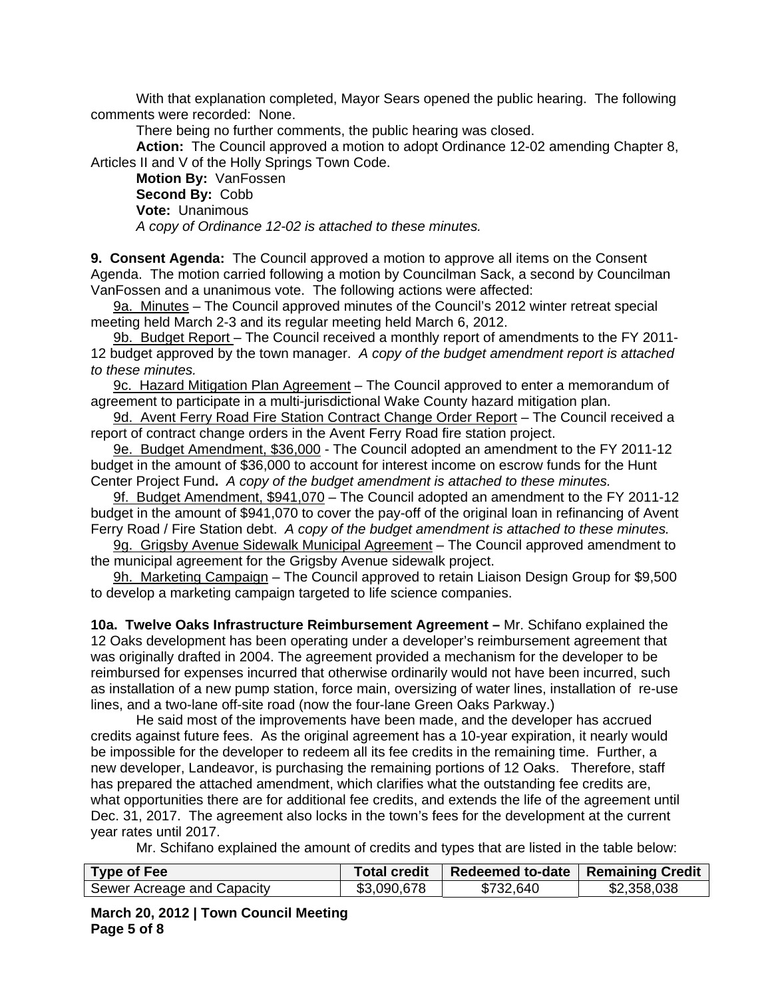With that explanation completed, Mayor Sears opened the public hearing. The following comments were recorded: None.

There being no further comments, the public hearing was closed.

**Action:** The Council approved a motion to adopt Ordinance 12-02 amending Chapter 8, Articles II and V of the Holly Springs Town Code.

**Motion By:** VanFossen **Second By:** Cobb **Vote:** Unanimous *A copy of Ordinance 12-02 is attached to these minutes.* 

**9. Consent Agenda:** The Council approved a motion to approve all items on the Consent Agenda. The motion carried following a motion by Councilman Sack, a second by Councilman VanFossen and a unanimous vote. The following actions were affected:

9a. Minutes – The Council approved minutes of the Council's 2012 winter retreat special meeting held March 2-3 and its regular meeting held March 6, 2012.

9b. Budget Report - The Council received a monthly report of amendments to the FY 2011-12 budget approved by the town manager. *A copy of the budget amendment report is attached to these minutes.*

9c. Hazard Mitigation Plan Agreement – The Council approved to enter a memorandum of agreement to participate in a multi-jurisdictional Wake County hazard mitigation plan.

9d. Avent Ferry Road Fire Station Contract Change Order Report – The Council received a report of contract change orders in the Avent Ferry Road fire station project.

9e. Budget Amendment, \$36,000 - The Council adopted an amendment to the FY 2011-12 budget in the amount of \$36,000 to account for interest income on escrow funds for the Hunt Center Project Fund**.** *A copy of the budget amendment is attached to these minutes.* 

9f. Budget Amendment, \$941,070 - The Council adopted an amendment to the FY 2011-12 budget in the amount of \$941,070 to cover the pay-off of the original loan in refinancing of Avent Ferry Road / Fire Station debt. *A copy of the budget amendment is attached to these minutes.*

9g. Grigsby Avenue Sidewalk Municipal Agreement – The Council approved amendment to the municipal agreement for the Grigsby Avenue sidewalk project.

9h. Marketing Campaign – The Council approved to retain Liaison Design Group for \$9,500 to develop a marketing campaign targeted to life science companies.

**10a. Twelve Oaks Infrastructure Reimbursement Agreement –** Mr. Schifano explained the 12 Oaks development has been operating under a developer's reimbursement agreement that was originally drafted in 2004. The agreement provided a mechanism for the developer to be reimbursed for expenses incurred that otherwise ordinarily would not have been incurred, such as installation of a new pump station, force main, oversizing of water lines, installation of re-use lines, and a two-lane off-site road (now the four-lane Green Oaks Parkway.)

He said most of the improvements have been made, and the developer has accrued credits against future fees. As the original agreement has a 10-year expiration, it nearly would be impossible for the developer to redeem all its fee credits in the remaining time. Further, a new developer, Landeavor, is purchasing the remaining portions of 12 Oaks. Therefore, staff has prepared the attached amendment, which clarifies what the outstanding fee credits are, what opportunities there are for additional fee credits, and extends the life of the agreement until Dec. 31, 2017. The agreement also locks in the town's fees for the development at the current year rates until 2017.

Mr. Schifano explained the amount of credits and types that are listed in the table below:

| Type of Fee                | <b>Total credit</b> | Redeemed to-date   Remaining Credit |             |
|----------------------------|---------------------|-------------------------------------|-------------|
| Sewer Acreage and Capacity | \$3,090,678         | \$732,640                           | \$2,358,038 |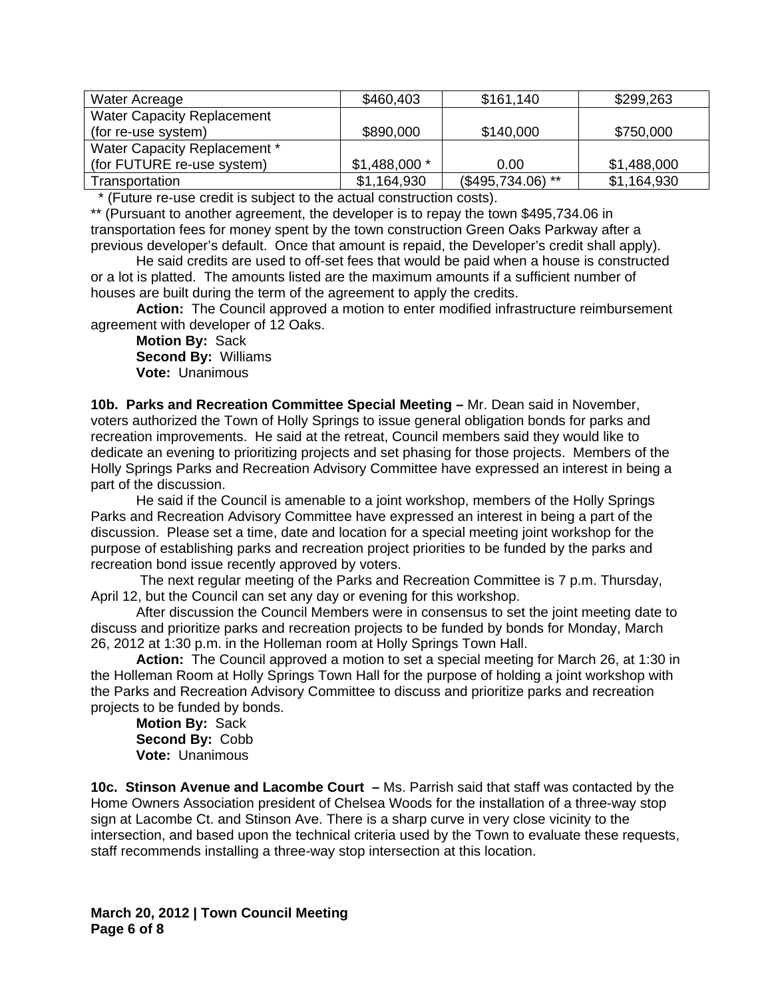| Water Acreage                     | \$460,403     | \$161,140          | \$299,263   |
|-----------------------------------|---------------|--------------------|-------------|
| <b>Water Capacity Replacement</b> |               |                    |             |
| (for re-use system)               | \$890,000     | \$140,000          | \$750,000   |
| Water Capacity Replacement *      |               |                    |             |
| (for FUTURE re-use system)        | $$1,488,000*$ | 0.00               | \$1,488,000 |
| Transportation                    | \$1,164,930   | $($495,734.06)$ ** | \$1,164,930 |

\* (Future re-use credit is subject to the actual construction costs).

\*\* (Pursuant to another agreement, the developer is to repay the town \$495,734.06 in transportation fees for money spent by the town construction Green Oaks Parkway after a previous developer's default. Once that amount is repaid, the Developer's credit shall apply).

He said credits are used to off-set fees that would be paid when a house is constructed or a lot is platted. The amounts listed are the maximum amounts if a sufficient number of houses are built during the term of the agreement to apply the credits.

**Action:** The Council approved a motion to enter modified infrastructure reimbursement agreement with developer of 12 Oaks.

**Motion By:** Sack **Second By:** Williams **Vote:** Unanimous

**10b. Parks and Recreation Committee Special Meeting –** Mr. Dean said in November, voters authorized the Town of Holly Springs to issue general obligation bonds for parks and recreation improvements. He said at the retreat, Council members said they would like to dedicate an evening to prioritizing projects and set phasing for those projects. Members of the Holly Springs Parks and Recreation Advisory Committee have expressed an interest in being a part of the discussion.

He said if the Council is amenable to a joint workshop, members of the Holly Springs Parks and Recreation Advisory Committee have expressed an interest in being a part of the discussion. Please set a time, date and location for a special meeting joint workshop for the purpose of establishing parks and recreation project priorities to be funded by the parks and recreation bond issue recently approved by voters.

 The next regular meeting of the Parks and Recreation Committee is 7 p.m. Thursday, April 12, but the Council can set any day or evening for this workshop.

After discussion the Council Members were in consensus to set the joint meeting date to discuss and prioritize parks and recreation projects to be funded by bonds for Monday, March 26, 2012 at 1:30 p.m. in the Holleman room at Holly Springs Town Hall.

**Action:** The Council approved a motion to set a special meeting for March 26, at 1:30 in the Holleman Room at Holly Springs Town Hall for the purpose of holding a joint workshop with the Parks and Recreation Advisory Committee to discuss and prioritize parks and recreation projects to be funded by bonds.

**Motion By:** Sack  **Second By:** Cobb  **Vote:** Unanimous

**10c. Stinson Avenue and Lacombe Court –** Ms. Parrish said that staff was contacted by the Home Owners Association president of Chelsea Woods for the installation of a three-way stop sign at Lacombe Ct. and Stinson Ave. There is a sharp curve in very close vicinity to the intersection, and based upon the technical criteria used by the Town to evaluate these requests, staff recommends installing a three-way stop intersection at this location.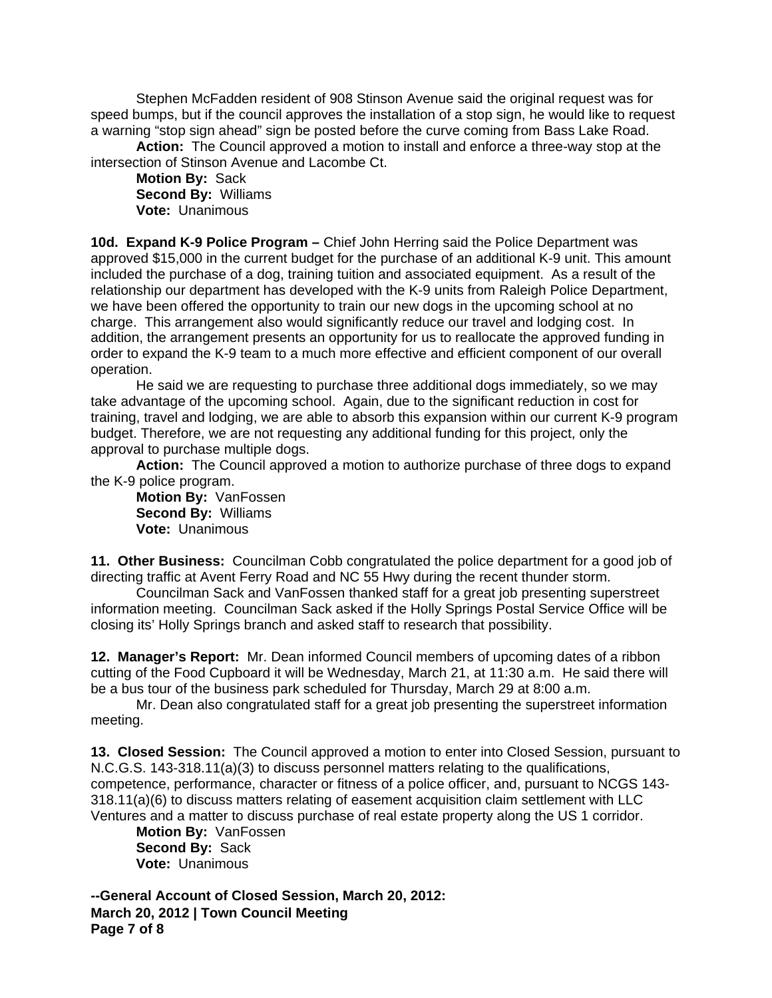Stephen McFadden resident of 908 Stinson Avenue said the original request was for speed bumps, but if the council approves the installation of a stop sign, he would like to request a warning "stop sign ahead" sign be posted before the curve coming from Bass Lake Road.

**Action:** The Council approved a motion to install and enforce a three-way stop at the intersection of Stinson Avenue and Lacombe Ct.

**Motion By:** Sack  **Second By:** Williams  **Vote:** Unanimous

**10d. Expand K-9 Police Program –** Chief John Herring said the Police Department was approved \$15,000 in the current budget for the purchase of an additional K-9 unit. This amount included the purchase of a dog, training tuition and associated equipment. As a result of the relationship our department has developed with the K-9 units from Raleigh Police Department, we have been offered the opportunity to train our new dogs in the upcoming school at no charge. This arrangement also would significantly reduce our travel and lodging cost. In addition, the arrangement presents an opportunity for us to reallocate the approved funding in order to expand the K-9 team to a much more effective and efficient component of our overall operation.

He said we are requesting to purchase three additional dogs immediately, so we may take advantage of the upcoming school. Again, due to the significant reduction in cost for training, travel and lodging, we are able to absorb this expansion within our current K-9 program budget. Therefore, we are not requesting any additional funding for this project, only the approval to purchase multiple dogs.

**Action:** The Council approved a motion to authorize purchase of three dogs to expand the K-9 police program.

**Motion By:** VanFossen  **Second By:** Williams  **Vote:** Unanimous

**11. Other Business:** Councilman Cobb congratulated the police department for a good job of directing traffic at Avent Ferry Road and NC 55 Hwy during the recent thunder storm.

Councilman Sack and VanFossen thanked staff for a great job presenting superstreet information meeting. Councilman Sack asked if the Holly Springs Postal Service Office will be closing its' Holly Springs branch and asked staff to research that possibility.

**12. Manager's Report:** Mr. Dean informed Council members of upcoming dates of a ribbon cutting of the Food Cupboard it will be Wednesday, March 21, at 11:30 a.m. He said there will be a bus tour of the business park scheduled for Thursday, March 29 at 8:00 a.m.

Mr. Dean also congratulated staff for a great job presenting the superstreet information meeting.

**13. Closed Session:** The Council approved a motion to enter into Closed Session, pursuant to N.C.G.S. 143-318.11(a)(3) to discuss personnel matters relating to the qualifications, competence, performance, character or fitness of a police officer, and, pursuant to NCGS 143- 318.11(a)(6) to discuss matters relating of easement acquisition claim settlement with LLC Ventures and a matter to discuss purchase of real estate property along the US 1 corridor.

**Motion By:** VanFossen **Second By:** Sack **Vote:** Unanimous

**March 20, 2012 | Town Council Meeting Page 7 of 8 --General Account of Closed Session, March 20, 2012:**